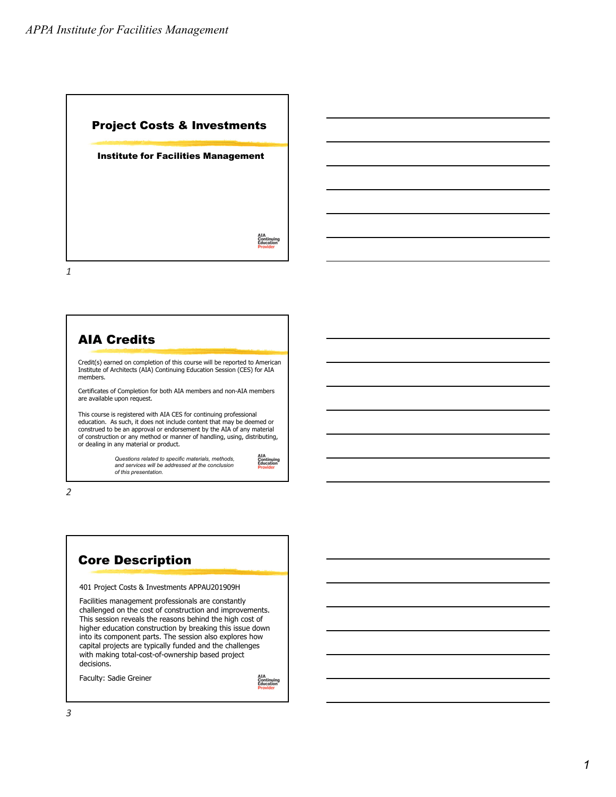

#### Credit(s) earned on completion of this course will be reported to American Institute of Architects (AIA) Continuing Education Session (CES) for AIA members. Certificates of Completion for both AIA members and non-AIA members are available upon request. This course is registered with AIA CES for continuing professional education. As such, it does not include content that may be deemed or construed to be an approval or endorsement by the AIA of any material of construction or any method or manner of handling, using, distributing, or dealing in any material or product. *Questions related to specific materials, methods, and services will be addressed at the conclusion of this presentation.* AIA Credits

Continuing<br>Education

*2*



Faculty: Sadie Greiner

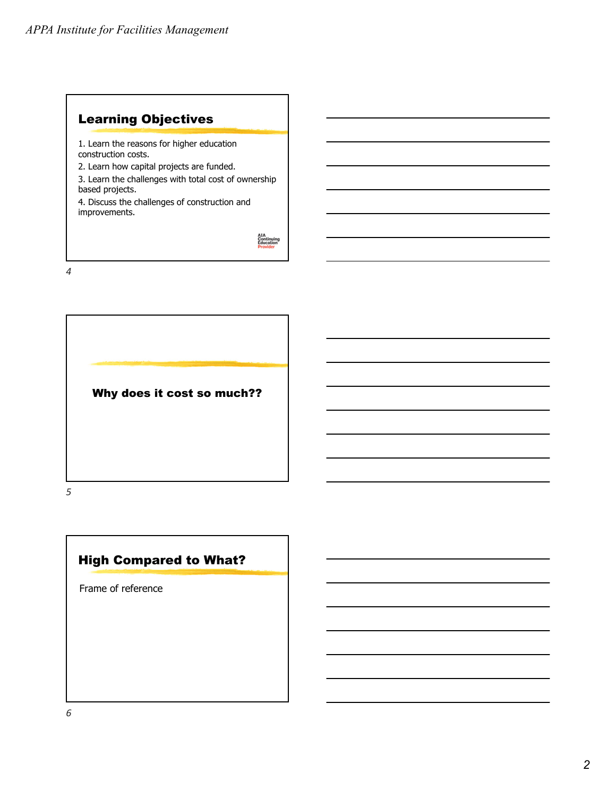# Learning Objectives

1. Learn the reasons for higher education construction costs.

2. Learn how capital projects are funded.

3. Learn the challenges with total cost of ownership based projects.

4. Discuss the challenges of construction and improvements.

AIA<br>Continuing<br>Education

*4*



*5*

## High Compared to What?

Frame of reference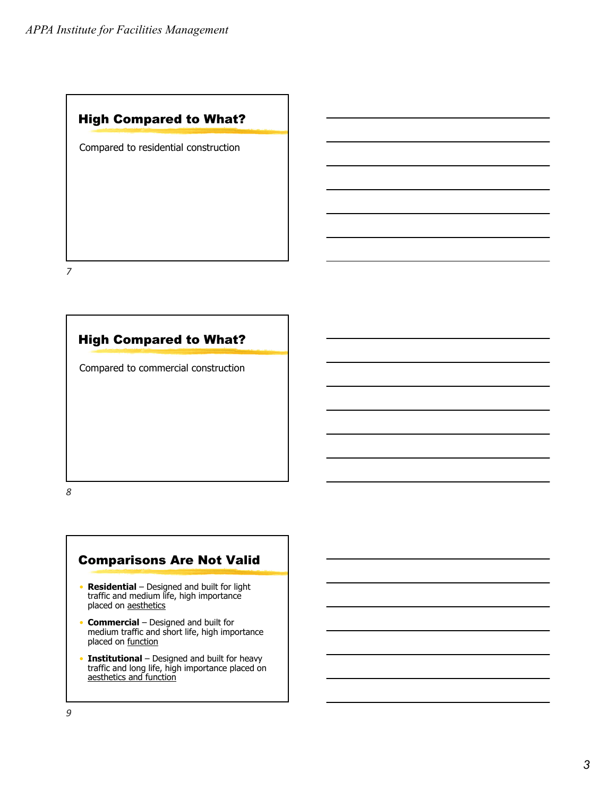## High Compared to What?

Compared to residential construction

*7*

#### High Compared to What?

Compared to commercial construction

*8*

### Comparisons Are Not Valid

- **Residential** Designed and built for light traffic and medium life, high importance placed on aesthetics
- **Commercial** Designed and built for medium traffic and short life, high importance placed on function
- **Institutional** Designed and built for heavy traffic and long life, high importance placed on aesthetics and function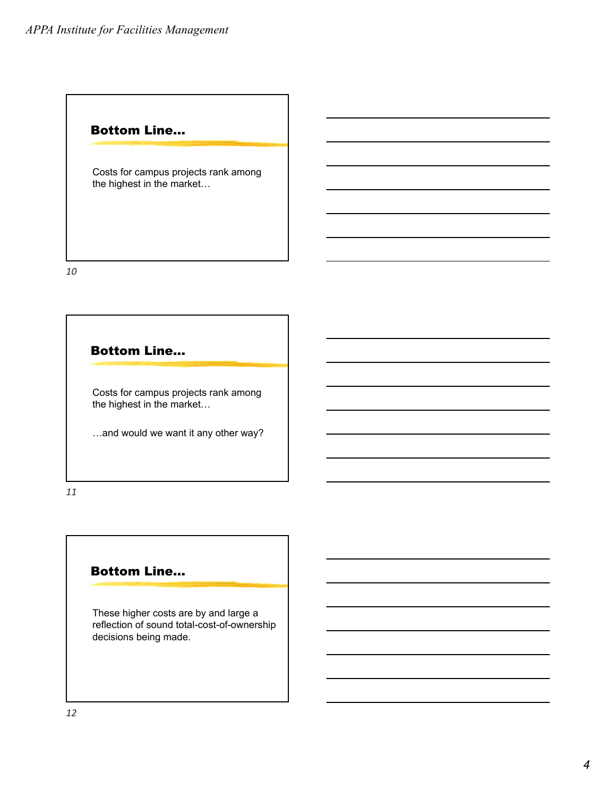#### Bottom Line…

Costs for campus projects rank among the highest in the market…

*10*

Bottom Line…

Costs for campus projects rank among the highest in the market…

…and would we want it any other way?

*11*

#### Bottom Line…

These higher costs are by and large a reflection of sound total-cost-of-ownership decisions being made.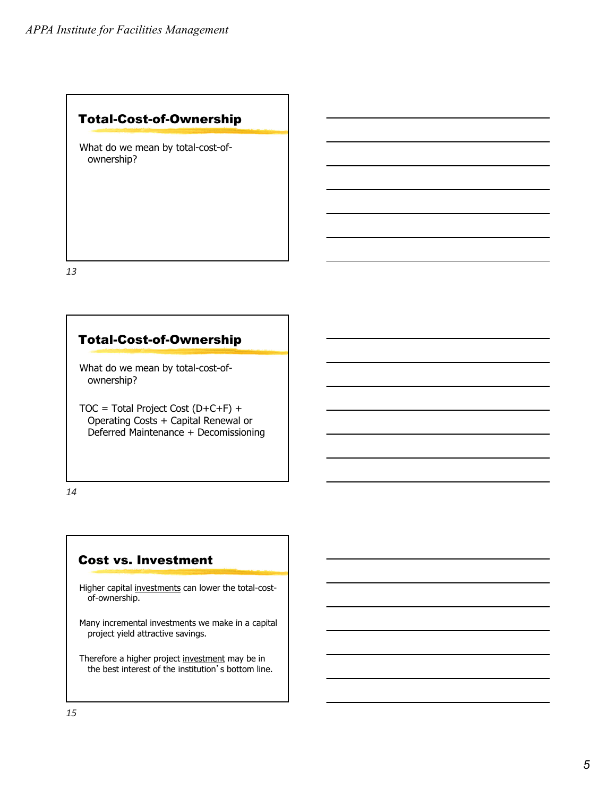#### Total-Cost-of-Ownership

What do we mean by total-cost-ofownership?

*13*

#### Total-Cost-of-Ownership

What do we mean by total-cost-ofownership?

TOC = Total Project Cost (D+C+F) + Operating Costs + Capital Renewal or Deferred Maintenance + Decomissioning

*14*

#### Cost vs. Investment

Higher capital investments can lower the total-costof-ownership.

Many incremental investments we make in a capital project yield attractive savings.

Therefore a higher project investment may be in the best interest of the institution's bottom line.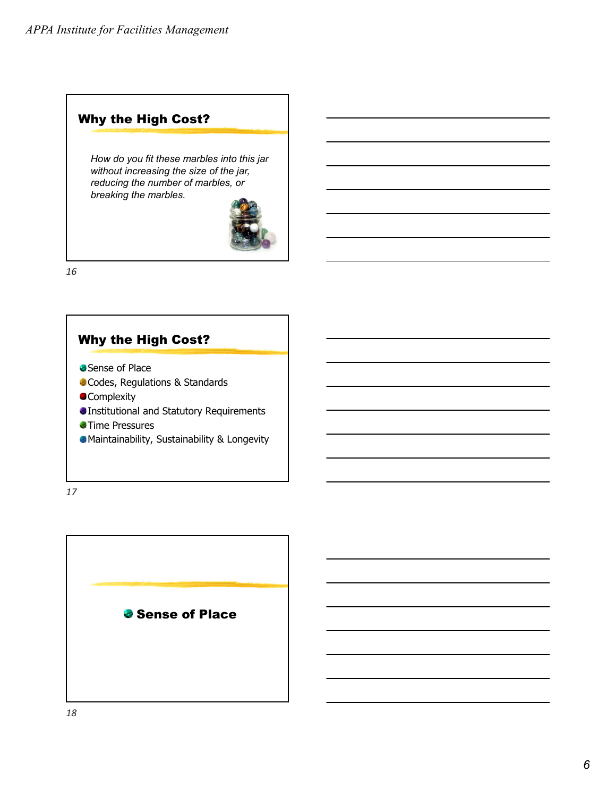# Why the High Cost?

*How do you fit these marbles into this jar without increasing the size of the jar, reducing the number of marbles, or breaking the marbles.*



*16*



*17*

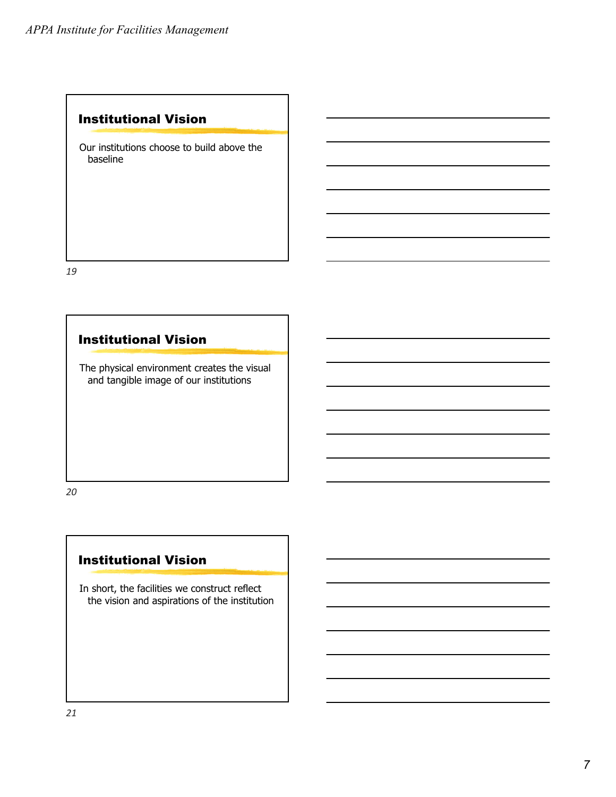#### Institutional Vision

Our institutions choose to build above the baseline

*19*

## Institutional Vision

The physical environment creates the visual and tangible image of our institutions

*20*

#### Institutional Vision

In short, the facilities we construct reflect the vision and aspirations of the institution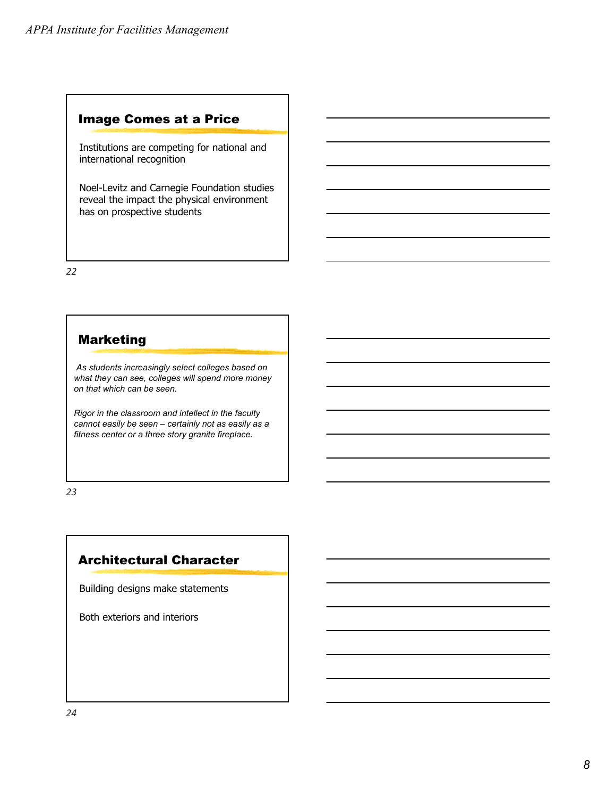#### Image Comes at a Price

Institutions are competing for national and international recognition

Noel-Levitz and Carnegie Foundation studies reveal the impact the physical environment has on prospective students

*22*

#### Marketing

*As students increasingly select colleges based on what they can see, colleges will spend more money on that which can be seen.* 

*Rigor in the classroom and intellect in the faculty cannot easily be seen – certainly not as easily as a fitness center or a three story granite fireplace.*

*23*

## Architectural Character

Building designs make statements

Both exteriors and interiors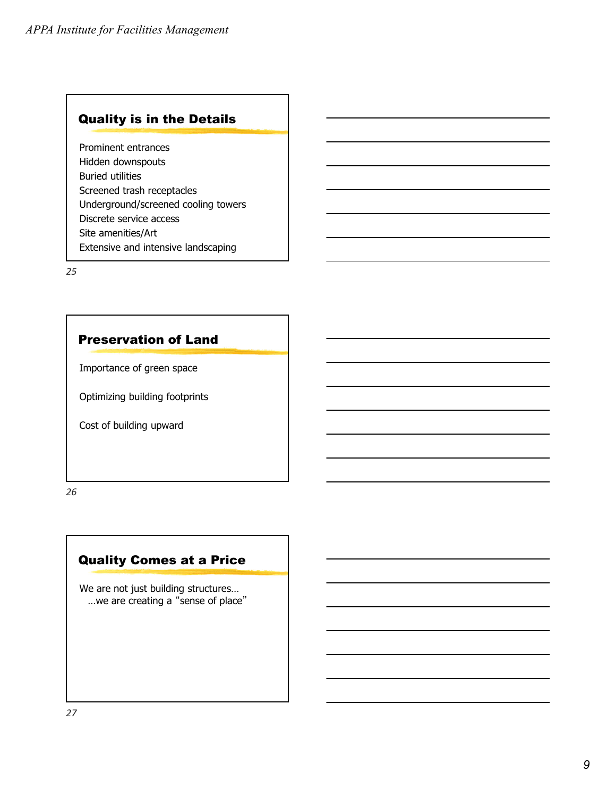## Quality is in the Details

Prominent entrances Hidden downspouts Buried utilities Screened trash receptacles Underground/screened cooling towers Discrete service access Site amenities/Art Extensive and intensive landscaping

*25*

## Preservation of Land

Importance of green space

Optimizing building footprints

Cost of building upward

*26*

## Quality Comes at a Price

We are not just building structures… …we are creating a "sense of place"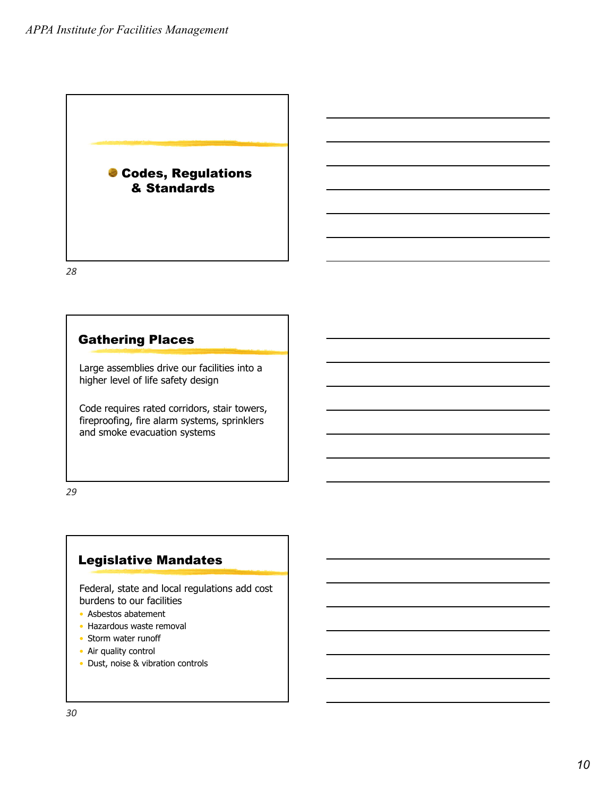

## Gathering Places

Large assemblies drive our facilities into a higher level of life safety design

Code requires rated corridors, stair towers, fireproofing, fire alarm systems, sprinklers and smoke evacuation systems

*29*

## Legislative Mandates

Federal, state and local regulations add cost burdens to our facilities

- Asbestos abatement
- Hazardous waste removal
- Storm water runoff
- Air quality control
- Dust, noise & vibration controls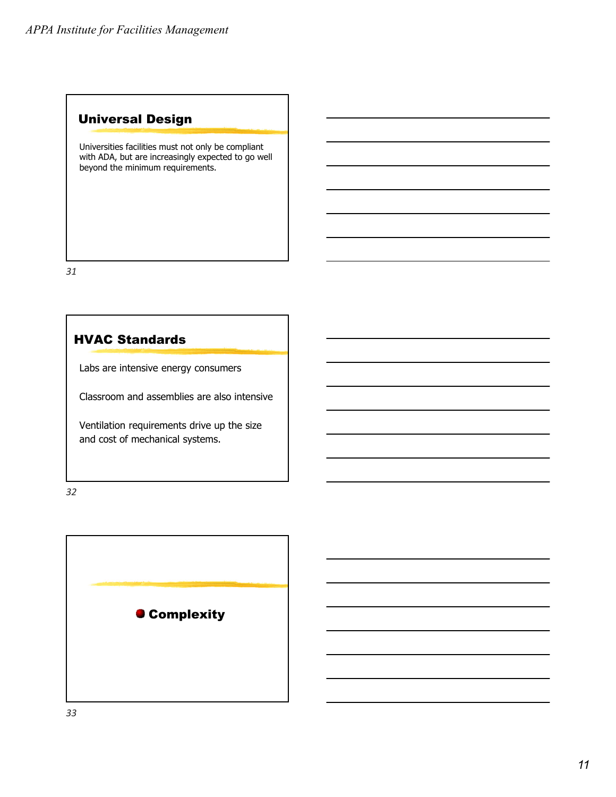## Universal Design

Universities facilities must not only be compliant with ADA, but are increasingly expected to go well beyond the minimum requirements.

*31*

#### HVAC Standards

Labs are intensive energy consumers

Classroom and assemblies are also intensive

Ventilation requirements drive up the size and cost of mechanical systems.

*32*

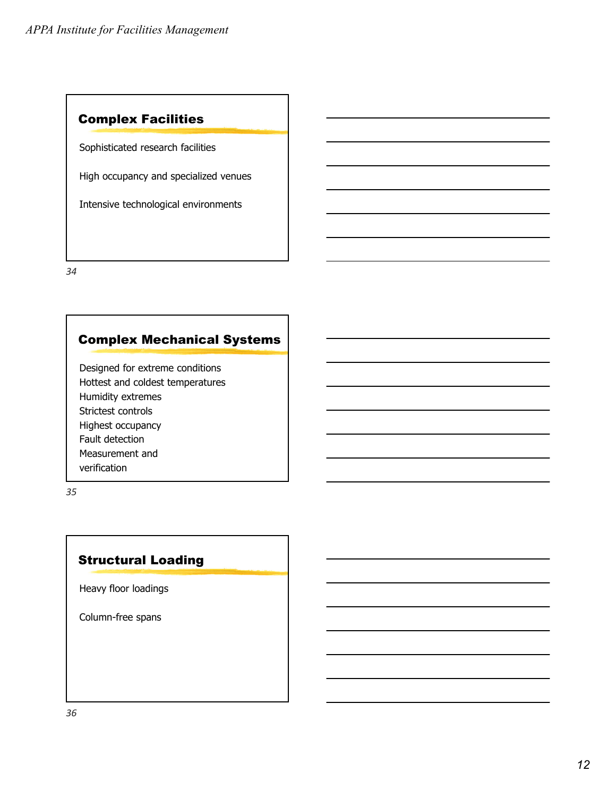## Complex Facilities

Sophisticated research facilities

High occupancy and specialized venues

Intensive technological environments

*34*

# Complex Mechanical Systems

Designed for extreme conditions Hottest and coldest temperatures Humidity extremes Strictest controls Highest occupancy Fault detection Measurement and verification

*35*

#### Structural Loading

Heavy floor loadings

Column-free spans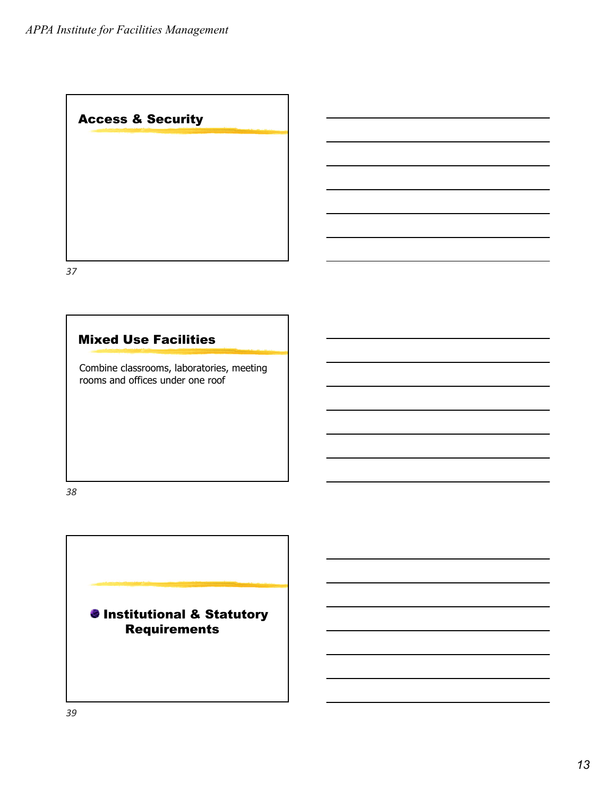Access & Security

*37*

## Mixed Use Facilities

Combine classrooms, laboratories, meeting rooms and offices under one roof

*38*

**O** Institutional & Statutory Requirements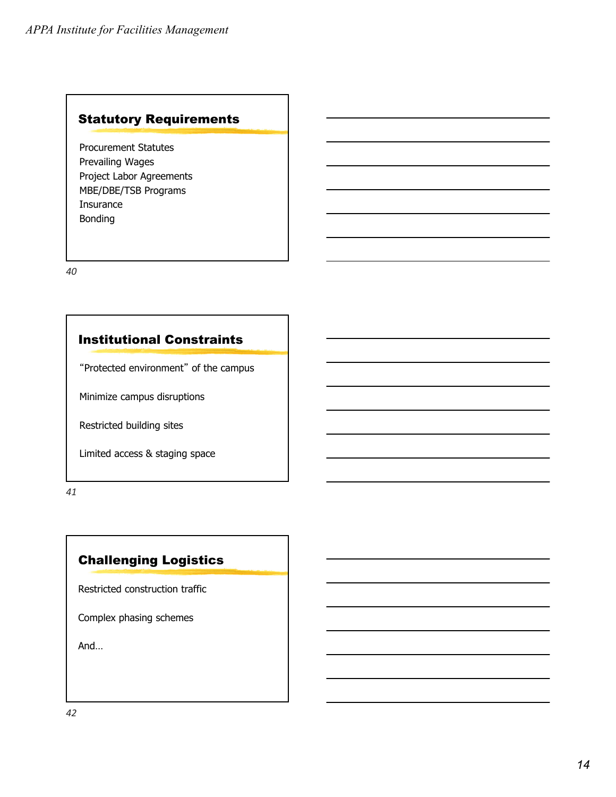#### Statutory Requirements

Procurement Statutes Prevailing Wages Project Labor Agreements MBE/DBE/TSB Programs Insurance Bonding

*40*

## Institutional Constraints

"Protected environment" of the campus

Minimize campus disruptions

Restricted building sites

Limited access & staging space

*41*

# Challenging Logistics

Restricted construction traffic

Complex phasing schemes

And…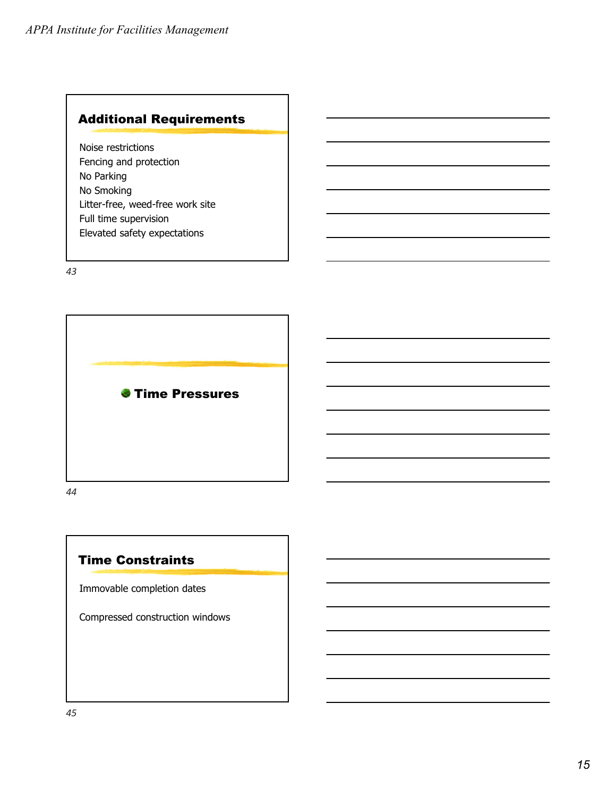# Additional Requirements

Noise restrictions Fencing and protection No Parking No Smoking Litter-free, weed-free work site Full time supervision Elevated safety expectations

*43*



*44*

#### Time Constraints

Immovable completion dates

Compressed construction windows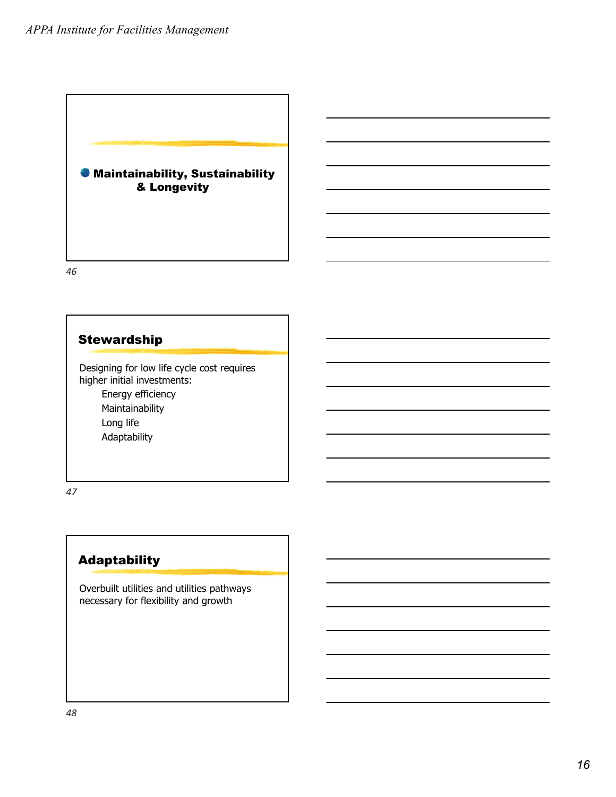

## **Stewardship**

Designing for low life cycle cost requires higher initial investments:

> Energy efficiency Maintainability Long life Adaptability

*47*

## Adaptability

Overbuilt utilities and utilities pathways necessary for flexibility and growth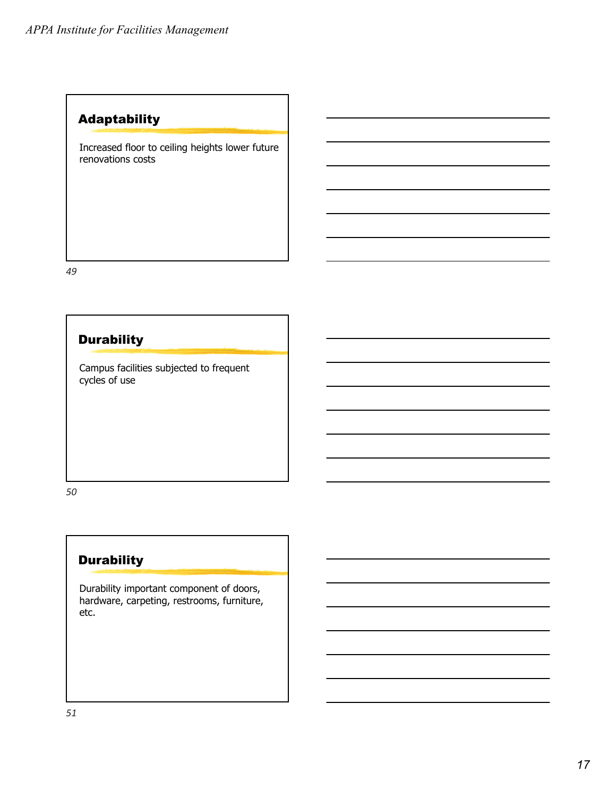# Adaptability

Increased floor to ceiling heights lower future renovations costs

*49*

# **Durability**

Campus facilities subjected to frequent cycles of use

*50*

# **Durability**

Durability important component of doors, hardware, carpeting, restrooms, furniture, etc.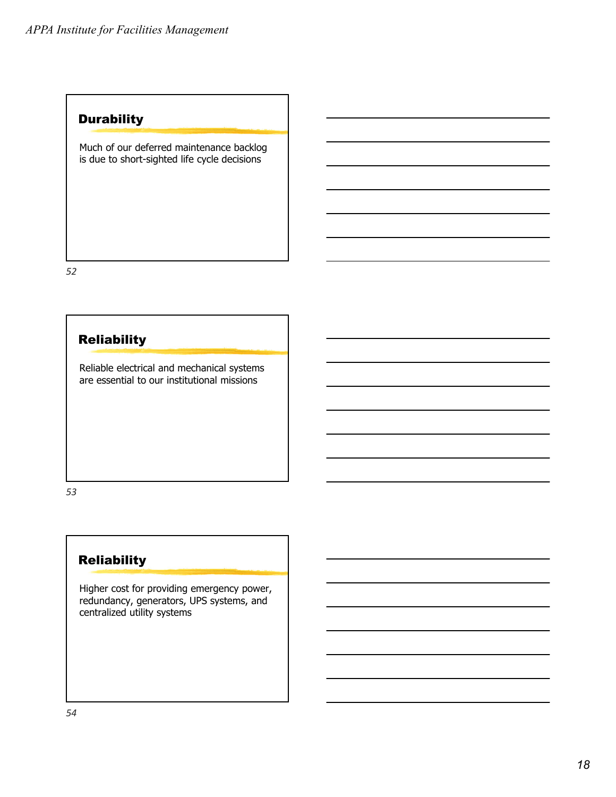## **Durability**

Much of our deferred maintenance backlog is due to short-sighted life cycle decisions

*52*

## Reliability

Reliable electrical and mechanical systems are essential to our institutional missions

*53*

## Reliability

Higher cost for providing emergency power, redundancy, generators, UPS systems, and centralized utility systems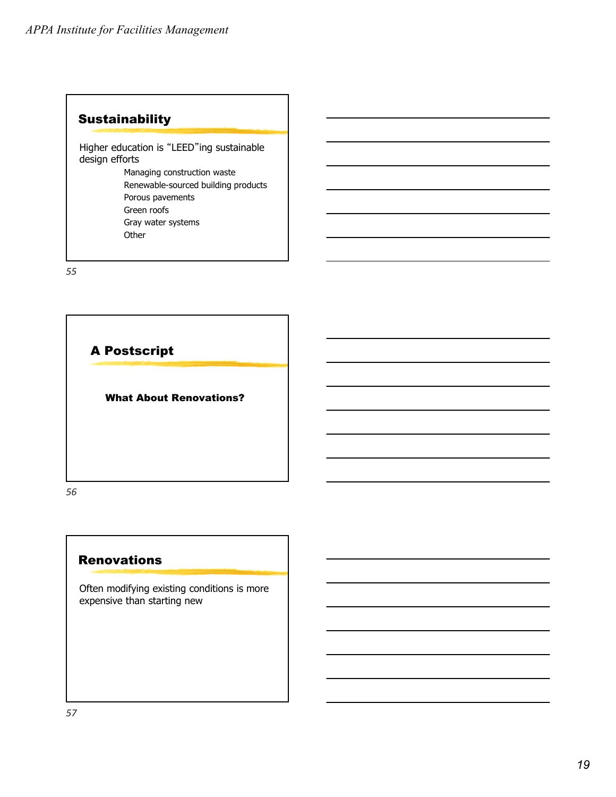## **Sustainability**

Higher education is "LEED"ing sustainable design efforts

> Managing construction waste Renewable-sourced building products Porous pavements Green roofs Gray water systems **Other**

*55*



#### **Renovations**

Often modifying existing conditions is more expensive than starting new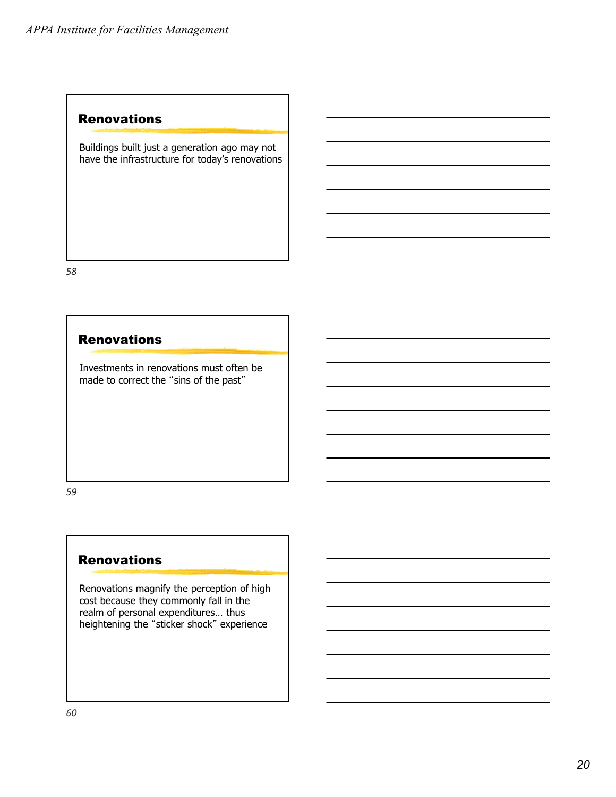#### Renovations

Buildings built just a generation ago may not have the infrastructure for today's renovations

*58*

#### **Renovations**

Investments in renovations must often be made to correct the "sins of the past"

*59*

#### **Renovations**

Renovations magnify the perception of high cost because they commonly fall in the realm of personal expenditures… thus heightening the "sticker shock" experience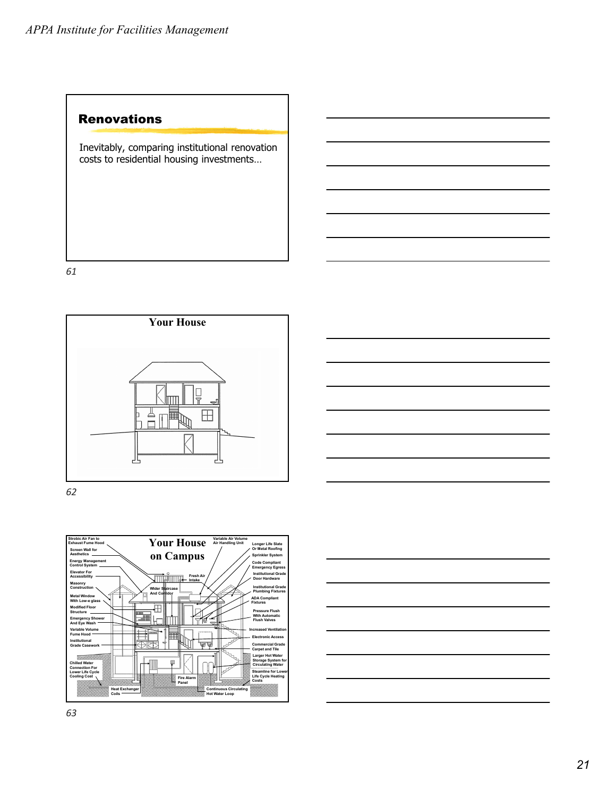#### Renovations

Inevitably, comparing institutional renovation costs to residential housing investments…

*61*



*62*



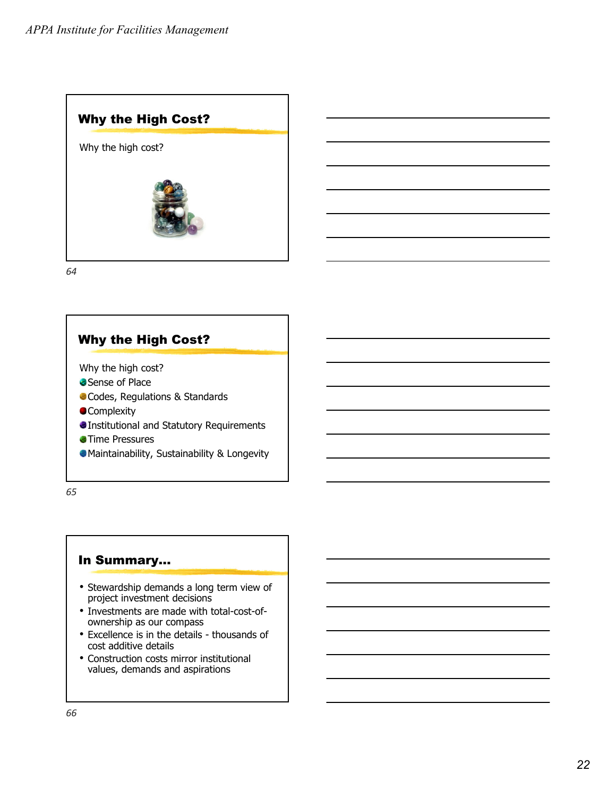

# Why the High Cost?

- Why the high cost?
- Sense of Place
- Codes, Regulations & Standards
- **OComplexity**
- Institutional and Statutory Requirements
- **Time Pressures**
- Maintainability, Sustainability & Longevity

*65*

#### In Summary…

- Stewardship demands a long term view of project investment decisions
- Investments are made with total-cost-ofownership as our compass
- Excellence is in the details thousands of cost additive details
- Construction costs mirror institutional values, demands and aspirations